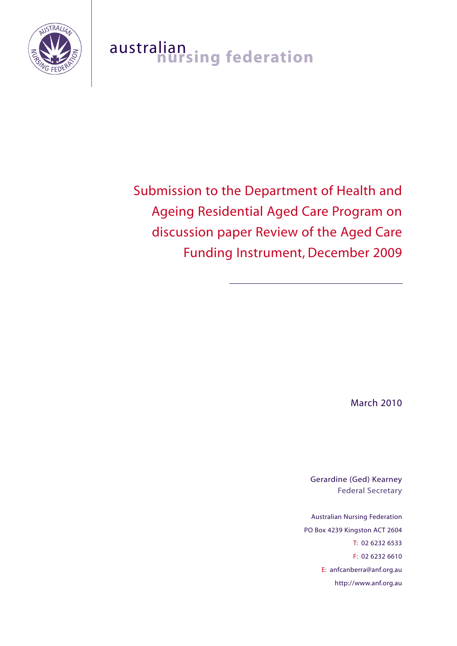

# australian<br>**nursing federation**

# Submission to the Department of Health and Ageing Residential Aged Care Program on discussion paper Review of the Aged Care Funding Instrument, December 2009

March 2010

Gerardine (Ged) Kearney Federal Secretary

Australian Nursing Federation PO Box 4239 Kingston ACT 2604 T: 02 6232 6533 F: 02 6232 6610 E: anfcanberra@anf.org.au http://www.anf.org.au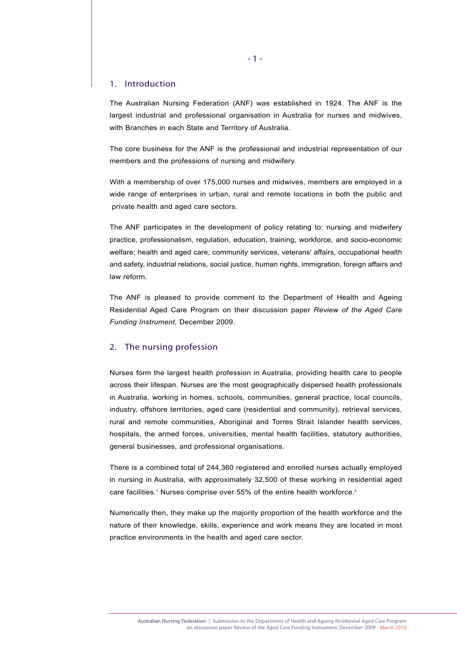#### 1. Introduction

The Australian Nursing Federation (ANF) was established in 1924. The ANF is the largest industrial and professional organisation in Australia for nurses and midwives, with Branches in each State and Territory of Australia.

The core business for the ANF is the professional and industrial representation of our members and the professions of nursing and midwifery.

With a membership of over 175,000 nurses and midwives, members are employed in a wide range of enterprises in urban, rural and remote locations in both the public and private health and aged care sectors.

The ANF participates in the development of policy relating to: nursing and midwifery practice, professionalism, regulation, education, training, workforce, and socio-economic welfare; health and aged care, community services, veterans' affairs, occupational health and safety, industrial relations, social justice, human rights, immigration, foreign affairs and law reform.

The ANF is pleased to provide comment to the Department of Health and Ageing Residential Aged Care Program on their discussion paper *Review of the Aged Care Funding Instrument,* December 2009.

#### 2. The nursing profession

Nurses form the largest health profession in Australia, providing health care to people across their lifespan. Nurses are the most geographically dispersed health professionals in Australia, working in homes, schools, communities, general practice, local councils, industry, offshore territories, aged care (residential and community), retrieval services, rural and remote communities, Aboriginal and Torres Strait Islander health services, hospitals, the armed forces, universities, mental health facilities, statutory authorities, general businesses, and professional organisations.

There is a combined total of 244,360 registered and enrolled nurses actually employed in nursing in Australia, with approximately 32,500 of these working in residential aged care facilities.<sup>1</sup> Nurses comprise over 55% of the entire health workforce.<sup>2</sup>

Numerically then, they make up the majority proportion of the health workforce and the nature of their knowledge, skills, experience and work means they are located in most practice environments in the health and aged care sector.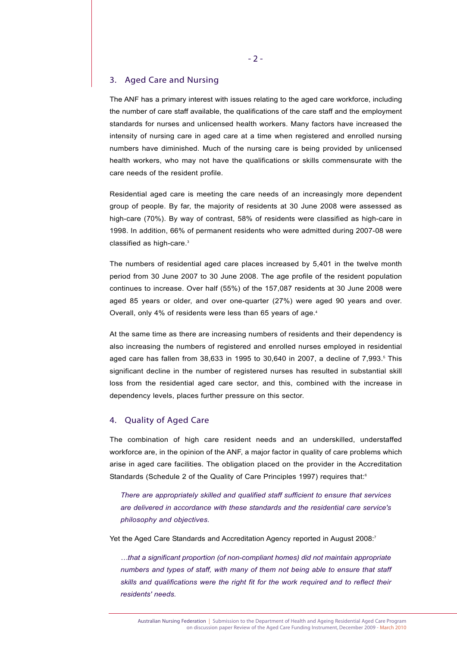# 3. Aged Care and Nursing

The ANF has a primary interest with issues relating to the aged care workforce, including the number of care staff available, the qualifications of the care staff and the employment standards for nurses and unlicensed health workers. Many factors have increased the intensity of nursing care in aged care at a time when registered and enrolled nursing numbers have diminished. Much of the nursing care is being provided by unlicensed health workers, who may not have the qualifications or skills commensurate with the care needs of the resident profile.

Residential aged care is meeting the care needs of an increasingly more dependent group of people. By far, the majority of residents at 30 June 2008 were assessed as high-care (70%). By way of contrast, 58% of residents were classified as high-care in 1998. In addition, 66% of permanent residents who were admitted during 2007-08 were classified as high-care.<sup>3</sup>

The numbers of residential aged care places increased by 5,401 in the twelve month period from 30 June 2007 to 30 June 2008. The age profile of the resident population continues to increase. Over half (55%) of the 157,087 residents at 30 June 2008 were aged 85 years or older, and over one-quarter (27%) were aged 90 years and over. Overall, only 4% of residents were less than 65 years of age.4

At the same time as there are increasing numbers of residents and their dependency is also increasing the numbers of registered and enrolled nurses employed in residential aged care has fallen from  $38,633$  in 1995 to  $30,640$  in 2007, a decline of  $7,993$ .<sup>5</sup> This significant decline in the number of registered nurses has resulted in substantial skill loss from the residential aged care sector, and this, combined with the increase in dependency levels, places further pressure on this sector.

### 4. Quality of Aged Care

The combination of high care resident needs and an underskilled, understaffed workforce are, in the opinion of the ANF, a major factor in quality of care problems which arise in aged care facilities. The obligation placed on the provider in the Accreditation Standards (Schedule 2 of the Quality of Care Principles 1997) requires that:<sup>6</sup>

*There are appropriately skilled and qualified staff sufficient to ensure that services are delivered in accordance with these standards and the residential care service's philosophy and objectives.* 

Yet the Aged Care Standards and Accreditation Agency reported in August 2008:<sup>7</sup>

*…that a significant proportion (of non-compliant homes) did not maintain appropriate numbers and types of staff, with many of them not being able to ensure that staff skills and qualifications were the right fit for the work required and to reflect their residents' needs.*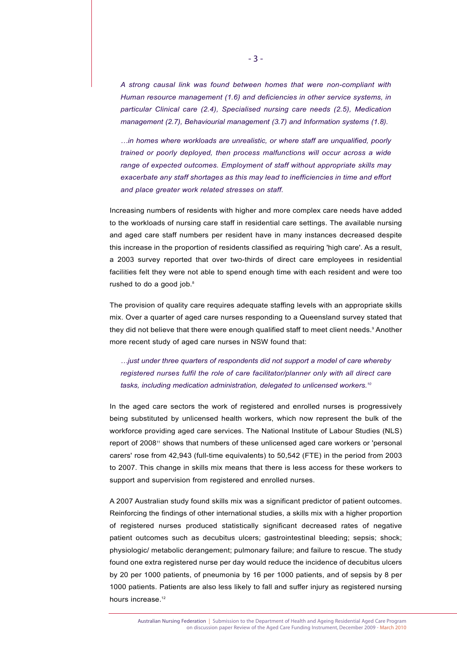*A strong causal link was found between homes that were non-compliant with Human resource management (1.6) and deficiencies in other service systems, in particular Clinical care (2.4), Specialised nursing care needs (2.5), Medication management (2.7), Behaviourial management (3.7) and Information systems (1.8).*

*…in homes where workloads are unrealistic, or where staff are unqualified, poorly trained or poorly deployed, then process malfunctions will occur across a wide range of expected outcomes. Employment of staff without appropriate skills may exacerbate any staff shortages as this may lead to inefficiencies in time and effort and place greater work related stresses on staff.* 

Increasing numbers of residents with higher and more complex care needs have added to the workloads of nursing care staff in residential care settings. The available nursing and aged care staff numbers per resident have in many instances decreased despite this increase in the proportion of residents classified as requiring 'high care'. As a result, a 2003 survey reported that over two-thirds of direct care employees in residential facilities felt they were not able to spend enough time with each resident and were too rushed to do a good job.<sup>8</sup>

The provision of quality care requires adequate staffing levels with an appropriate skills mix. Over a quarter of aged care nurses responding to a Queensland survey stated that they did not believe that there were enough qualified staff to meet client needs.<sup>9</sup> Another more recent study of aged care nurses in NSW found that:

*…just under three quarters of respondents did not support a model of care whereby registered nurses fulfil the role of care facilitator/planner only with all direct care tasks, including medication administration, delegated to unlicensed workers.10* 

In the aged care sectors the work of registered and enrolled nurses is progressively being substituted by unlicensed health workers, which now represent the bulk of the workforce providing aged care services. The National Institute of Labour Studies (NLS) report of 2008<sup>11</sup> shows that numbers of these unlicensed aged care workers or 'personal carers' rose from 42,943 (full-time equivalents) to 50,542 (FTE) in the period from 2003 to 2007. This change in skills mix means that there is less access for these workers to support and supervision from registered and enrolled nurses.

A 2007 Australian study found skills mix was a significant predictor of patient outcomes. Reinforcing the findings of other international studies, a skills mix with a higher proportion of registered nurses produced statistically significant decreased rates of negative patient outcomes such as decubitus ulcers; gastrointestinal bleeding; sepsis; shock; physiologic/ metabolic derangement; pulmonary failure; and failure to rescue. The study found one extra registered nurse per day would reduce the incidence of decubitus ulcers by 20 per 1000 patients, of pneumonia by 16 per 1000 patients, and of sepsis by 8 per 1000 patients. Patients are also less likely to fall and suffer injury as registered nursing hours increase.<sup>12</sup>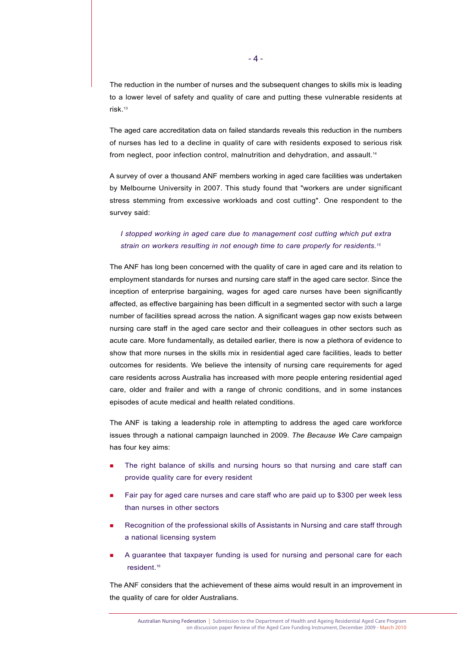The reduction in the number of nurses and the subsequent changes to skills mix is leading to a lower level of safety and quality of care and putting these vulnerable residents at risk.13

The aged care accreditation data on failed standards reveals this reduction in the numbers of nurses has led to a decline in quality of care with residents exposed to serious risk from neglect, poor infection control, malnutrition and dehydration, and assault.<sup>14</sup>

A survey of over a thousand ANF members working in aged care facilities was undertaken by Melbourne University in 2007. This study found that "workers are under significant stress stemming from excessive workloads and cost cutting". One respondent to the survey said:

# *I stopped working in aged care due to management cost cutting which put extra strain on workers resulting in not enough time to care properly for residents.15*

The ANF has long been concerned with the quality of care in aged care and its relation to employment standards for nurses and nursing care staff in the aged care sector. Since the inception of enterprise bargaining, wages for aged care nurses have been significantly affected, as effective bargaining has been difficult in a segmented sector with such a large number of facilities spread across the nation. A significant wages gap now exists between nursing care staff in the aged care sector and their colleagues in other sectors such as acute care. More fundamentally, as detailed earlier, there is now a plethora of evidence to show that more nurses in the skills mix in residential aged care facilities, leads to better outcomes for residents. We believe the intensity of nursing care requirements for aged care residents across Australia has increased with more people entering residential aged care, older and frailer and with a range of chronic conditions, and in some instances episodes of acute medical and health related conditions.

The ANF is taking a leadership role in attempting to address the aged care workforce issues through a national campaign launched in 2009. *The Because We Care* campaign has four key aims:

- The right balance of skills and nursing hours so that nursing and care staff can provide quality care for every resident
- Fair pay for aged care nurses and care staff who are paid up to \$300 per week less than nurses in other sectors
- Recognition of the professional skills of Assistants in Nursing and care staff through a national licensing system
- A guarantee that taxpayer funding is used for nursing and personal care for each resident.16

The ANF considers that the achievement of these aims would result in an improvement in the quality of care for older Australians.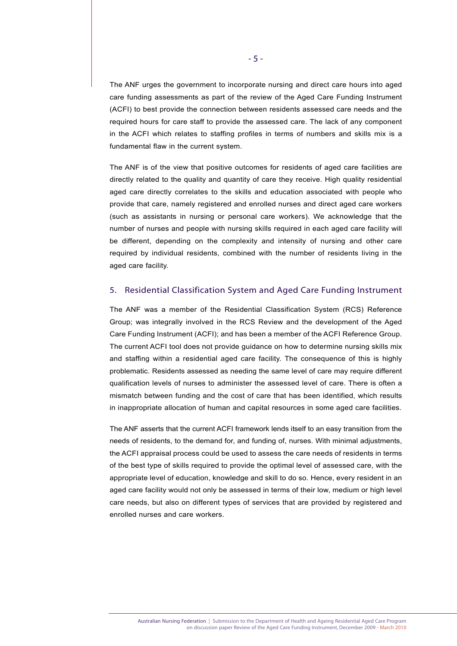The ANF urges the government to incorporate nursing and direct care hours into aged care funding assessments as part of the review of the Aged Care Funding Instrument (ACFI) to best provide the connection between residents assessed care needs and the required hours for care staff to provide the assessed care. The lack of any component in the ACFI which relates to staffing profiles in terms of numbers and skills mix is a fundamental flaw in the current system.

The ANF is of the view that positive outcomes for residents of aged care facilities are directly related to the quality and quantity of care they receive. High quality residential aged care directly correlates to the skills and education associated with people who provide that care, namely registered and enrolled nurses and direct aged care workers (such as assistants in nursing or personal care workers). We acknowledge that the number of nurses and people with nursing skills required in each aged care facility will be different, depending on the complexity and intensity of nursing and other care required by individual residents, combined with the number of residents living in the aged care facility.

# 5. Residential Classification System and Aged Care Funding Instrument

The ANF was a member of the Residential Classification System (RCS) Reference Group; was integrally involved in the RCS Review and the development of the Aged Care Funding Instrument (ACFI); and has been a member of the ACFI Reference Group. The current ACFI tool does not provide guidance on how to determine nursing skills mix and staffing within a residential aged care facility. The consequence of this is highly problematic. Residents assessed as needing the same level of care may require different qualification levels of nurses to administer the assessed level of care. There is often a mismatch between funding and the cost of care that has been identified, which results in inappropriate allocation of human and capital resources in some aged care facilities.

The ANF asserts that the current ACFI framework lends itself to an easy transition from the needs of residents, to the demand for, and funding of, nurses. With minimal adjustments, the ACFI appraisal process could be used to assess the care needs of residents in terms of the best type of skills required to provide the optimal level of assessed care, with the appropriate level of education, knowledge and skill to do so. Hence, every resident in an aged care facility would not only be assessed in terms of their low, medium or high level care needs, but also on different types of services that are provided by registered and enrolled nurses and care workers.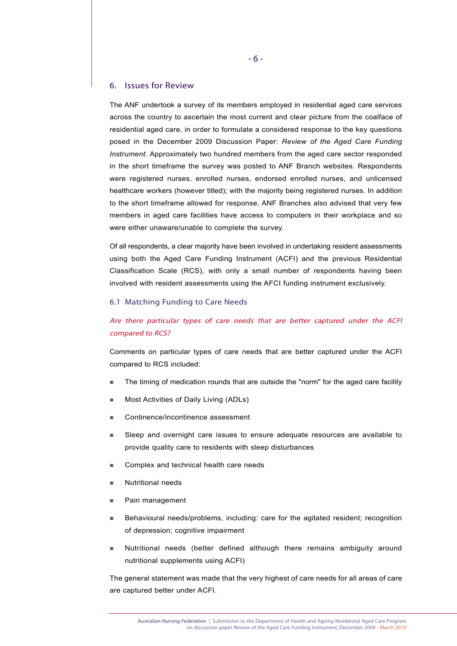#### 6. Issues for Review

The ANF undertook a survey of its members employed in residential aged care services across the country to ascertain the most current and clear picture from the coalface of residential aged care, in order to formulate a considered response to the key questions posed in the December 2009 Discussion Paper: *Review of the Aged Care Funding Instrument.* Approximately two hundred members from the aged care sector responded in the short timeframe the survey was posted to ANF Branch websites. Respondents were registered nurses, enrolled nurses, endorsed enrolled nurses, and unlicensed healthcare workers (however titled); with the majority being registered nurses. In addition to the short timeframe allowed for response, ANF Branches also advised that very few members in aged care facilities have access to computers in their workplace and so were either unaware/unable to complete the survey.

Of all respondents, a clear majority have been involved in undertaking resident assessments using both the Aged Care Funding Instrument (ACFI) and the previous Residential Classification Scale (RCS), with only a small number of respondents having been involved with resident assessments using the AFCI funding instrument exclusively.

#### 6.1 Matching Funding to Care Needs

# Are there particular types of care needs that are better captured under the ACFI compared to RCS?

Comments on particular types of care needs that are better captured under the ACFI compared to RCS included:

- The timing of medication rounds that are outside the "norm" for the aged care facility
- Most Activities of Daily Living (ADLs)
- Continence/incontinence assessment
- Sleep and overnight care issues to ensure adequate resources are available to provide quality care to residents with sleep disturbances
- Complex and technical health care needs
- Nutritional needs
- **Pain management**
- Behavioural needs/problems, including: care for the agitated resident; recognition of depression; cognitive impairment
- Nutritional needs (better defined although there remains ambiguity around nutritional supplements using ACFI)

The general statement was made that the very highest of care needs for all areas of care are captured better under ACFI.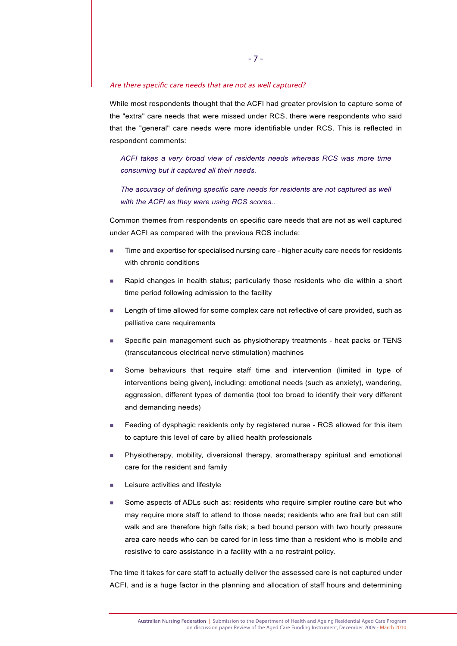Are there specific care needs that are not as well captured?

While most respondents thought that the ACFI had greater provision to capture some of the "extra" care needs that were missed under RCS, there were respondents who said that the "general" care needs were more identifiable under RCS. This is reflected in respondent comments:

*ACFI takes a very broad view of residents needs whereas RCS was more time consuming but it captured all their needs.*

*The accuracy of defining specific care needs for residents are not captured as well with the ACFI as they were using RCS scores..* 

Common themes from respondents on specific care needs that are not as well captured under ACFI as compared with the previous RCS include:

- Time and expertise for specialised nursing care higher acuity care needs for residents with chronic conditions
- Rapid changes in health status; particularly those residents who die within a short time period following admission to the facility
- Length of time allowed for some complex care not reflective of care provided, such as palliative care requirements
- Specific pain management such as physiotherapy treatments heat packs or TENS (transcutaneous electrical nerve stimulation) machines
- Some behaviours that require staff time and intervention (limited in type of interventions being given), including: emotional needs (such as anxiety), wandering, aggression, different types of dementia (tool too broad to identify their very different and demanding needs)
- Feeding of dysphagic residents only by registered nurse RCS allowed for this item to capture this level of care by allied health professionals
- Physiotherapy, mobility, diversional therapy, aromatherapy spiritual and emotional care for the resident and family
- Leisure activities and lifestyle
- Some aspects of ADLs such as: residents who require simpler routine care but who may require more staff to attend to those needs; residents who are frail but can still walk and are therefore high falls risk; a bed bound person with two hourly pressure area care needs who can be cared for in less time than a resident who is mobile and resistive to care assistance in a facility with a no restraint policy.

The time it takes for care staff to actually deliver the assessed care is not captured under ACFI, and is a huge factor in the planning and allocation of staff hours and determining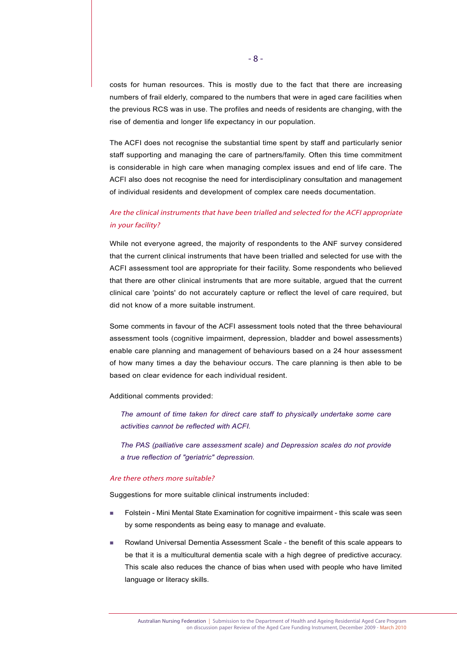costs for human resources. This is mostly due to the fact that there are increasing numbers of frail elderly, compared to the numbers that were in aged care facilities when the previous RCS was in use. The profiles and needs of residents are changing, with the rise of dementia and longer life expectancy in our population.

The ACFI does not recognise the substantial time spent by staff and particularly senior staff supporting and managing the care of partners/family. Often this time commitment is considerable in high care when managing complex issues and end of life care. The ACFI also does not recognise the need for interdisciplinary consultation and management of individual residents and development of complex care needs documentation.

# Are the clinical instruments that have been trialled and selected for the ACFI appropriate in your facility?

While not everyone agreed, the majority of respondents to the ANF survey considered that the current clinical instruments that have been trialled and selected for use with the ACFI assessment tool are appropriate for their facility. Some respondents who believed that there are other clinical instruments that are more suitable, argued that the current clinical care 'points' do not accurately capture or reflect the level of care required, but did not know of a more suitable instrument.

Some comments in favour of the ACFI assessment tools noted that the three behavioural assessment tools (cognitive impairment, depression, bladder and bowel assessments) enable care planning and management of behaviours based on a 24 hour assessment of how many times a day the behaviour occurs. The care planning is then able to be based on clear evidence for each individual resident.

Additional comments provided:

*The amount of time taken for direct care staff to physically undertake some care activities cannot be reflected with ACFI.*

*The PAS (palliative care assessment scale) and Depression scales do not provide a true reflection of "geriatric" depression.* 

#### Are there others more suitable?

Suggestions for more suitable clinical instruments included:

- Folstein Mini Mental State Examination for cognitive impairment this scale was seen by some respondents as being easy to manage and evaluate.
- Rowland Universal Dementia Assessment Scale the benefit of this scale appears to be that it is a multicultural dementia scale with a high degree of predictive accuracy. This scale also reduces the chance of bias when used with people who have limited language or literacy skills.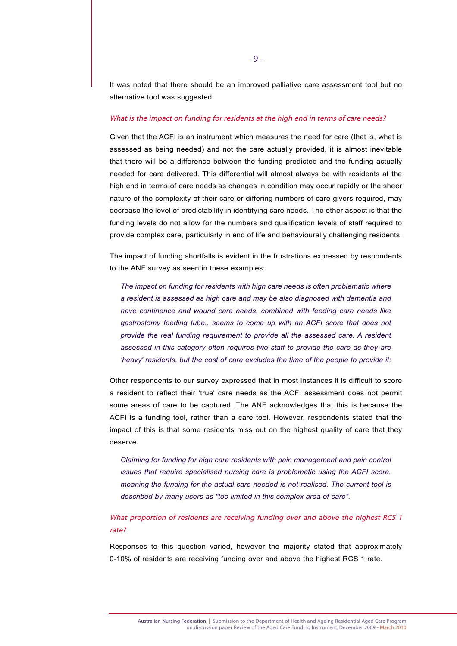It was noted that there should be an improved palliative care assessment tool but no alternative tool was suggested.

#### What is the impact on funding for residents at the high end in terms of care needs?

Given that the ACFI is an instrument which measures the need for care (that is, what is assessed as being needed) and not the care actually provided, it is almost inevitable that there will be a difference between the funding predicted and the funding actually needed for care delivered. This differential will almost always be with residents at the high end in terms of care needs as changes in condition may occur rapidly or the sheer nature of the complexity of their care or differing numbers of care givers required, may decrease the level of predictability in identifying care needs. The other aspect is that the funding levels do not allow for the numbers and qualification levels of staff required to provide complex care, particularly in end of life and behaviourally challenging residents.

The impact of funding shortfalls is evident in the frustrations expressed by respondents to the ANF survey as seen in these examples:

*The impact on funding for residents with high care needs is often problematic where a resident is assessed as high care and may be also diagnosed with dementia and have continence and wound care needs, combined with feeding care needs like gastrostomy feeding tube.. seems to come up with an ACFI score that does not provide the real funding requirement to provide all the assessed care. A resident assessed in this category often requires two staff to provide the care as they are 'heavy' residents, but the cost of care excludes the time of the people to provide it:*

Other respondents to our survey expressed that in most instances it is difficult to score a resident to reflect their 'true' care needs as the ACFI assessment does not permit some areas of care to be captured. The ANF acknowledges that this is because the ACFI is a funding tool, rather than a care tool. However, respondents stated that the impact of this is that some residents miss out on the highest quality of care that they deserve.

*Claiming for funding for high care residents with pain management and pain control issues that require specialised nursing care is problematic using the ACFI score, meaning the funding for the actual care needed is not realised. The current tool is described by many users as "too limited in this complex area of care".*

What proportion of residents are receiving funding over and above the highest RCS 1 rate?

Responses to this question varied, however the majority stated that approximately 0-10% of residents are receiving funding over and above the highest RCS 1 rate.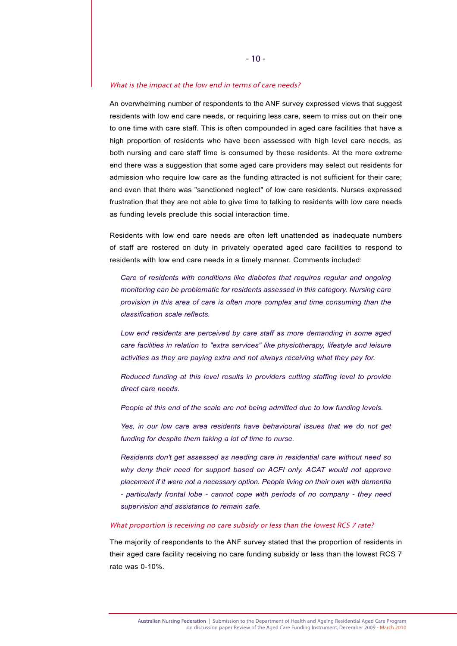#### What is the impact at the low end in terms of care needs?

An overwhelming number of respondents to the ANF survey expressed views that suggest residents with low end care needs, or requiring less care, seem to miss out on their one to one time with care staff. This is often compounded in aged care facilities that have a high proportion of residents who have been assessed with high level care needs, as both nursing and care staff time is consumed by these residents. At the more extreme end there was a suggestion that some aged care providers may select out residents for admission who require low care as the funding attracted is not sufficient for their care; and even that there was "sanctioned neglect" of low care residents. Nurses expressed frustration that they are not able to give time to talking to residents with low care needs as funding levels preclude this social interaction time.

Residents with low end care needs are often left unattended as inadequate numbers of staff are rostered on duty in privately operated aged care facilities to respond to residents with low end care needs in a timely manner. Comments included:

*Care of residents with conditions like diabetes that requires regular and ongoing monitoring can be problematic for residents assessed in this category. Nursing care provision in this area of care is often more complex and time consuming than the classification scale reflects.*

*Low end residents are perceived by care staff as more demanding in some aged care facilities in relation to "extra services" like physiotherapy, lifestyle and leisure activities as they are paying extra and not always receiving what they pay for.* 

*Reduced funding at this level results in providers cutting staffing level to provide direct care needs.*

*People at this end of the scale are not being admitted due to low funding levels.*

*Yes, in our low care area residents have behavioural issues that we do not get funding for despite them taking a lot of time to nurse.*

*Residents don't get assessed as needing care in residential care without need so why deny their need for support based on ACFI only. ACAT would not approve placement if it were not a necessary option. People living on their own with dementia - particularly frontal lobe - cannot cope with periods of no company - they need supervision and assistance to remain safe.* 

#### What proportion is receiving no care subsidy or less than the lowest RCS 7 rate?

The majority of respondents to the ANF survey stated that the proportion of residents in their aged care facility receiving no care funding subsidy or less than the lowest RCS 7 rate was 0-10%.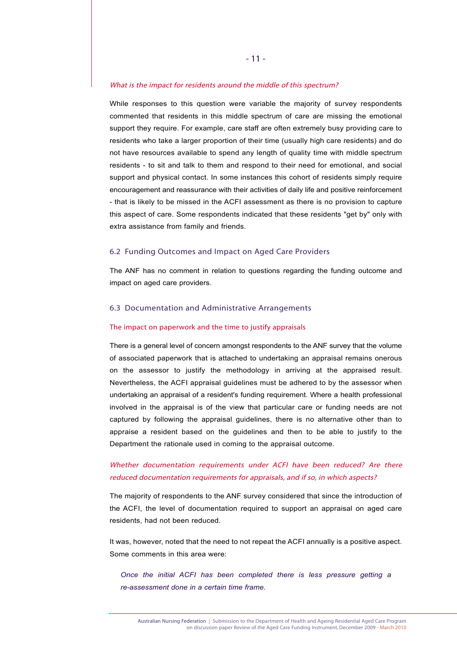#### What is the impact for residents around the middle of this spectrum?

While responses to this question were variable the majority of survey respondents commented that residents in this middle spectrum of care are missing the emotional support they require. For example, care staff are often extremely busy providing care to residents who take a larger proportion of their time (usually high care residents) and do not have resources available to spend any length of quality time with middle spectrum residents - to sit and talk to them and respond to their need for emotional, and social support and physical contact. In some instances this cohort of residents simply require encouragement and reassurance with their activities of daily life and positive reinforcement - that is likely to be missed in the ACFI assessment as there is no provision to capture this aspect of care. Some respondents indicated that these residents "get by" only with extra assistance from family and friends.

#### 6.2 Funding Outcomes and Impact on Aged Care Providers

The ANF has no comment in relation to questions regarding the funding outcome and impact on aged care providers.

#### 6.3 Documentation and Administrative Arrangements

#### The impact on paperwork and the time to justify appraisals

There is a general level of concern amongst respondents to the ANF survey that the volume of associated paperwork that is attached to undertaking an appraisal remains onerous on the assessor to justify the methodology in arriving at the appraised result. Nevertheless, the ACFI appraisal guidelines must be adhered to by the assessor when undertaking an appraisal of a resident's funding requirement. Where a health professional involved in the appraisal is of the view that particular care or funding needs are not captured by following the appraisal guidelines, there is no alternative other than to appraise a resident based on the guidelines and then to be able to justify to the Department the rationale used in coming to the appraisal outcome.

# Whether documentation requirements under ACFI have been reduced? Are there reduced documentation requirements for appraisals, and if so, in which aspects?

The majority of respondents to the ANF survey considered that since the introduction of the ACFI, the level of documentation required to support an appraisal on aged care residents, had not been reduced.

It was, however, noted that the need to not repeat the ACFI annually is a positive aspect. Some comments in this area were:

*Once the initial ACFI has been completed there is less pressure getting a re-assessment done in a certain time frame.*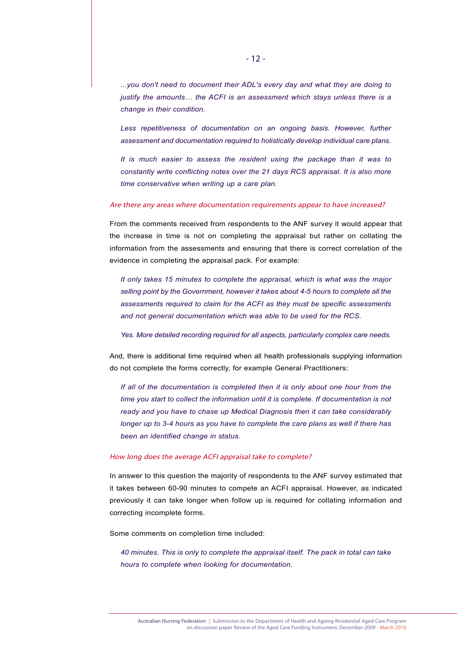*...you don't need to document their ADL's every day and what they are doing to justify the amounts… the ACFI is an assessment which stays unless there is a change in their condition.*

*Less repetitiveness of documentation on an ongoing basis. However, further assessment and documentation required to holistically develop individual care plans.*

*It is much easier to assess the resident using the package than it was to constantly write conflicting notes over the 21 days RCS appraisal. It is also more time conservative when writing up a care plan.*

#### Are there any areas where documentation requirements appear to have increased?

From the comments received from respondents to the ANF survey it would appear that the increase in time is not on completing the appraisal but rather on collating the information from the assessments and ensuring that there is correct correlation of the evidence in completing the appraisal pack. For example:

*It only takes 15 minutes to complete the appraisal, which is what was the major selling point by the Government, however it takes about 4-5 hours to complete all the assessments required to claim for the ACFI as they must be specific assessments and not general documentation which was able to be used for the RCS.*

*Yes. More detailed recording required for all aspects, particularly complex care needs.*

And, there is additional time required when all health professionals supplying information do not complete the forms correctly, for example General Practitioners:

*If all of the documentation is completed then it is only about one hour from the time you start to collect the information until it is complete. If documentation is not ready and you have to chase up Medical Diagnosis then it can take considerably longer up to 3-4 hours as you have to complete the care plans as well if there has been an identified change in status.*

#### How long does the average ACFI appraisal take to complete?

In answer to this question the majority of respondents to the ANF survey estimated that it takes between 60-90 minutes to compete an ACFI appraisal. However, as indicated previously it can take longer when follow up is required for collating information and correcting incomplete forms.

Some comments on completion time included:

*40 minutes. This is only to complete the appraisal itself. The pack in total can take hours to complete when looking for documentation.*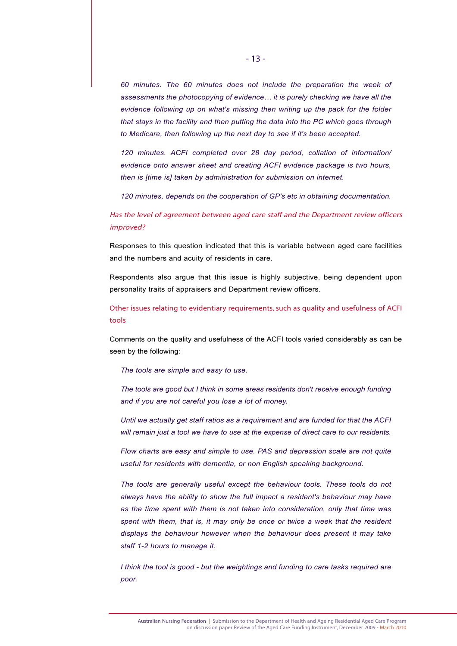*60 minutes. The 60 minutes does not include the preparation the week of assessments the photocopying of evidence… it is purely checking we have all the evidence following up on what's missing then writing up the pack for the folder that stays in the facility and then putting the data into the PC which goes through to Medicare, then following up the next day to see if it's been accepted.*

*120 minutes. ACFI completed over 28 day period, collation of information/ evidence onto answer sheet and creating ACFI evidence package is two hours, then is [time is] taken by administration for submission on internet.*

*120 minutes, depends on the cooperation of GP's etc in obtaining documentation.*

# Has the level of agreement between aged care staff and the Department review officers improved?

Responses to this question indicated that this is variable between aged care facilities and the numbers and acuity of residents in care.

Respondents also argue that this issue is highly subjective, being dependent upon personality traits of appraisers and Department review officers.

Other issues relating to evidentiary requirements, such as quality and usefulness of ACFI tools

Comments on the quality and usefulness of the ACFI tools varied considerably as can be seen by the following:

*The tools are simple and easy to use.*

*The tools are good but I think in some areas residents don't receive enough funding and if you are not careful you lose a lot of money.*

*Until we actually get staff ratios as a requirement and are funded for that the ACFI will remain just a tool we have to use at the expense of direct care to our residents.*

*Flow charts are easy and simple to use. PAS and depression scale are not quite useful for residents with dementia, or non English speaking background.*

*The tools are generally useful except the behaviour tools. These tools do not always have the ability to show the full impact a resident's behaviour may have as the time spent with them is not taken into consideration, only that time was spent with them, that is, it may only be once or twice a week that the resident displays the behaviour however when the behaviour does present it may take staff 1-2 hours to manage it.*

*I think the tool is good - but the weightings and funding to care tasks required are poor.*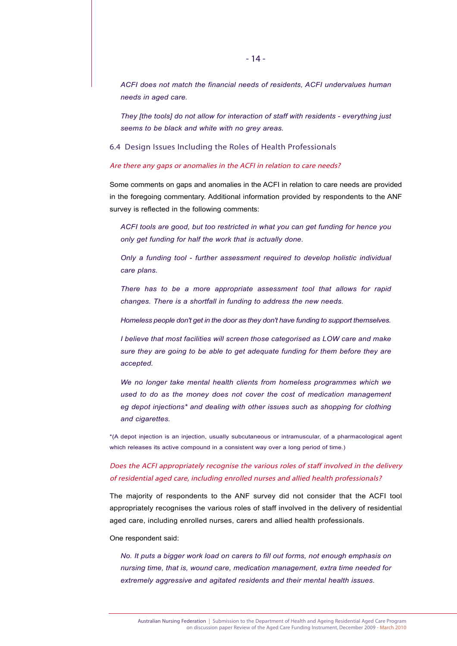*ACFI does not match the financial needs of residents, ACFI undervalues human needs in aged care.*

*They [the tools] do not allow for interaction of staff with residents - everything just seems to be black and white with no grey areas.* 

6.4 Design Issues Including the Roles of Health Professionals

#### Are there any gaps or anomalies in the ACFI in relation to care needs?

Some comments on gaps and anomalies in the ACFI in relation to care needs are provided in the foregoing commentary. Additional information provided by respondents to the ANF survey is reflected in the following comments:

*ACFI tools are good, but too restricted in what you can get funding for hence you only get funding for half the work that is actually done.*

*Only a funding tool - further assessment required to develop holistic individual care plans.*

*There has to be a more appropriate assessment tool that allows for rapid changes. There is a shortfall in funding to address the new needs.*

*Homeless people don't get in the door as they don't have funding to support themselves.*

*I believe that most facilities will screen those categorised as LOW care and make sure they are going to be able to get adequate funding for them before they are accepted.*

*We no longer take mental health clients from homeless programmes which we used to do as the money does not cover the cost of medication management eg depot injections\* and dealing with other issues such as shopping for clothing and cigarettes.*

\*(A depot injection is an injection, usually subcutaneous or intramuscular, of a pharmacological agent which releases its active compound in a consistent way over a long period of time.)

# Does the ACFI appropriately recognise the various roles of staff involved in the delivery of residential aged care, including enrolled nurses and allied health professionals?

The majority of respondents to the ANF survey did not consider that the ACFI tool appropriately recognises the various roles of staff involved in the delivery of residential aged care, including enrolled nurses, carers and allied health professionals.

#### One respondent said:

*No. It puts a bigger work load on carers to fill out forms, not enough emphasis on nursing time, that is, wound care, medication management, extra time needed for extremely aggressive and agitated residents and their mental health issues.*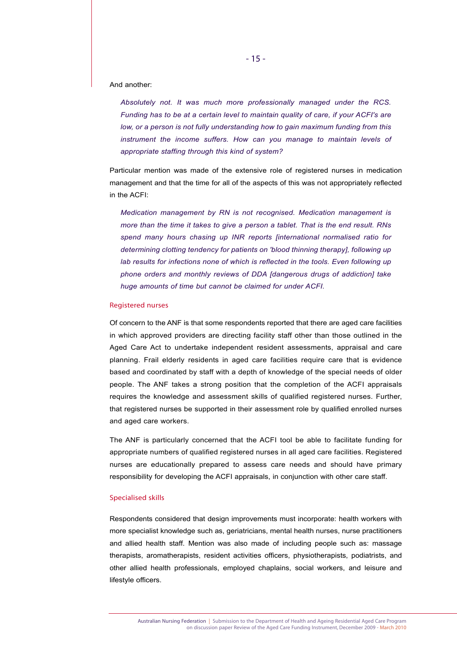#### And another:

*Absolutely not. It was much more professionally managed under the RCS. Funding has to be at a certain level to maintain quality of care, if your ACFI's are low, or a person is not fully understanding how to gain maximum funding from this instrument the income suffers. How can you manage to maintain levels of appropriate staffing through this kind of system?*

Particular mention was made of the extensive role of registered nurses in medication management and that the time for all of the aspects of this was not appropriately reflected in the ACFI:

*Medication management by RN is not recognised. Medication management is more than the time it takes to give a person a tablet. That is the end result. RNs spend many hours chasing up INR reports [international normalised ratio for determining clotting tendency for patients on 'blood thinning therapy], following up lab results for infections none of which is reflected in the tools. Even following up phone orders and monthly reviews of DDA [dangerous drugs of addiction] take huge amounts of time but cannot be claimed for under ACFI.* 

#### Registered nurses

Of concern to the ANF is that some respondents reported that there are aged care facilities in which approved providers are directing facility staff other than those outlined in the Aged Care Act to undertake independent resident assessments, appraisal and care planning. Frail elderly residents in aged care facilities require care that is evidence based and coordinated by staff with a depth of knowledge of the special needs of older people. The ANF takes a strong position that the completion of the ACFI appraisals requires the knowledge and assessment skills of qualified registered nurses. Further, that registered nurses be supported in their assessment role by qualified enrolled nurses and aged care workers.

The ANF is particularly concerned that the ACFI tool be able to facilitate funding for appropriate numbers of qualified registered nurses in all aged care facilities. Registered nurses are educationally prepared to assess care needs and should have primary responsibility for developing the ACFI appraisals, in conjunction with other care staff.

#### Specialised skills

Respondents considered that design improvements must incorporate: health workers with more specialist knowledge such as, geriatricians, mental health nurses, nurse practitioners and allied health staff. Mention was also made of including people such as: massage therapists, aromatherapists, resident activities officers, physiotherapists, podiatrists, and other allied health professionals, employed chaplains, social workers, and leisure and lifestyle officers.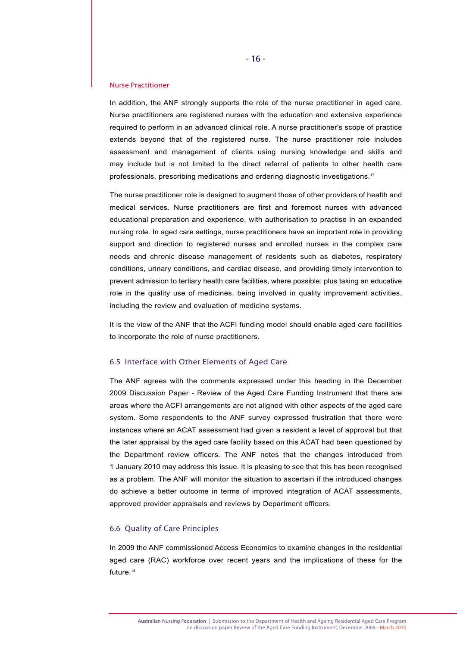#### Nurse Practitioner

In addition, the ANF strongly supports the role of the nurse practitioner in aged care. Nurse practitioners are registered nurses with the education and extensive experience required to perform in an advanced clinical role. A nurse practitioner's scope of practice extends beyond that of the registered nurse. The nurse practitioner role includes assessment and management of clients using nursing knowledge and skills and may include but is not limited to the direct referral of patients to other health care professionals, prescribing medications and ordering diagnostic investigations.<sup>17</sup>

The nurse practitioner role is designed to augment those of other providers of health and medical services. Nurse practitioners are first and foremost nurses with advanced educational preparation and experience, with authorisation to practise in an expanded nursing role. In aged care settings, nurse practitioners have an important role in providing support and direction to registered nurses and enrolled nurses in the complex care needs and chronic disease management of residents such as diabetes, respiratory conditions, urinary conditions, and cardiac disease, and providing timely intervention to prevent admission to tertiary health care facilities, where possible; plus taking an educative role in the quality use of medicines, being involved in quality improvement activities, including the review and evaluation of medicine systems.

It is the view of the ANF that the ACFI funding model should enable aged care facilities to incorporate the role of nurse practitioners.

#### 6.5 Interface with Other Elements of Aged Care

The ANF agrees with the comments expressed under this heading in the December 2009 Discussion Paper - Review of the Aged Care Funding Instrument that there are areas where the ACFI arrangements are not aligned with other aspects of the aged care system. Some respondents to the ANF survey expressed frustration that there were instances where an ACAT assessment had given a resident a level of approval but that the later appraisal by the aged care facility based on this ACAT had been questioned by the Department review officers. The ANF notes that the changes introduced from 1 January 2010 may address this issue. It is pleasing to see that this has been recognised as a problem. The ANF will monitor the situation to ascertain if the introduced changes do achieve a better outcome in terms of improved integration of ACAT assessments, approved provider appraisals and reviews by Department officers.

#### 6.6 Quality of Care Principles

In 2009 the ANF commissioned Access Economics to examine changes in the residential aged care (RAC) workforce over recent years and the implications of these for the future.<sup>18</sup>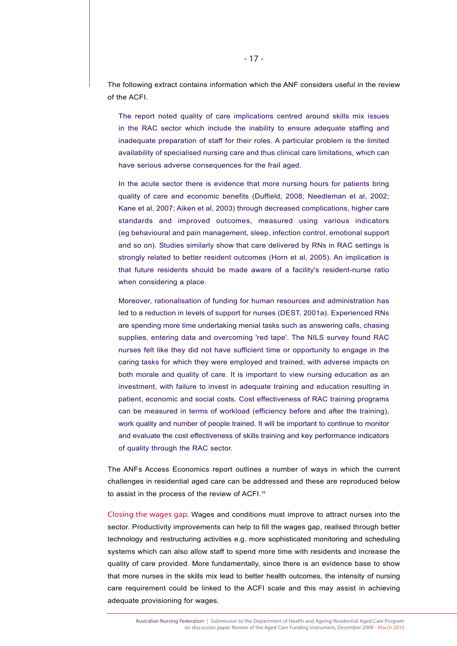The following extract contains information which the ANF considers useful in the review of the ACFI.

The report noted quality of care implications centred around skills mix issues in the RAC sector which include the inability to ensure adequate staffing and inadequate preparation of staff for their roles. A particular problem is the limited availability of specialised nursing care and thus clinical care limitations, which can have serious adverse consequences for the frail aged.

In the acute sector there is evidence that more nursing hours for patients bring quality of care and economic benefits (Duffield, 2008; Needleman et al, 2002; Kane et al, 2007; Aiken et al, 2003) through decreased complications, higher care standards and improved outcomes, measured using various indicators (eg behavioural and pain management, sleep, infection control, emotional support and so on). Studies similarly show that care delivered by RNs in RAC settings is strongly related to better resident outcomes (Horn et al, 2005). An implication is that future residents should be made aware of a facility's resident-nurse ratio when considering a place.

Moreover, rationalisation of funding for human resources and administration has led to a reduction in levels of support for nurses (DEST, 2001a). Experienced RNs are spending more time undertaking menial tasks such as answering calls, chasing supplies, entering data and overcoming 'red tape'. The NILS survey found RAC nurses felt like they did not have sufficient time or opportunity to engage in the caring tasks for which they were employed and trained, with adverse impacts on both morale and quality of care. It is important to view nursing education as an investment, with failure to invest in adequate training and education resulting in patient, economic and social costs. Cost effectiveness of RAC training programs can be measured in terms of workload (efficiency before and after the training), work quality and number of people trained. It will be important to continue to monitor and evaluate the cost effectiveness of skills training and key performance indicators of quality through the RAC sector.

The ANFs Access Economics report outlines a number of ways in which the current challenges in residential aged care can be addressed and these are reproduced below to assist in the process of the review of ACFI.<sup>19</sup>

Closing the wages gap. Wages and conditions must improve to attract nurses into the sector. Productivity improvements can help to fill the wages gap, realised through better technology and restructuring activities e.g. more sophisticated monitoring and scheduling systems which can also allow staff to spend more time with residents and increase the quality of care provided. More fundamentally, since there is an evidence base to show that more nurses in the skills mix lead to better health outcomes, the intensity of nursing care requirement could be linked to the ACFI scale and this may assist in achieving adequate provisioning for wages.

Australian Nursing Federation | Submission to the Department of Health and Ageing Residential Aged Care Program on discussion paper Review of the Aged Care Funding Instrument, December 2009 - March 2010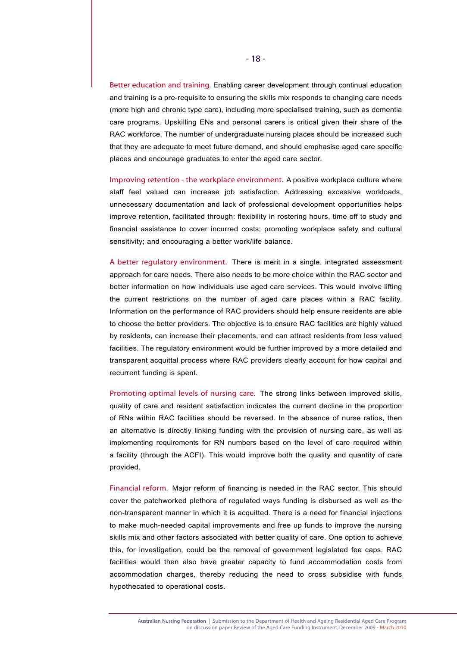Better education and training. Enabling career development through continual education and training is a pre-requisite to ensuring the skills mix responds to changing care needs (more high and chronic type care), including more specialised training, such as dementia care programs. Upskilling ENs and personal carers is critical given their share of the RAC workforce. The number of undergraduate nursing places should be increased such that they are adequate to meet future demand, and should emphasise aged care specific places and encourage graduates to enter the aged care sector.

Improving retention - the workplace environment. A positive workplace culture where staff feel valued can increase job satisfaction. Addressing excessive workloads, unnecessary documentation and lack of professional development opportunities helps improve retention, facilitated through: flexibility in rostering hours, time off to study and financial assistance to cover incurred costs; promoting workplace safety and cultural sensitivity; and encouraging a better work/life balance.

A better regulatory environment. There is merit in a single, integrated assessment approach for care needs. There also needs to be more choice within the RAC sector and better information on how individuals use aged care services. This would involve lifting the current restrictions on the number of aged care places within a RAC facility. Information on the performance of RAC providers should help ensure residents are able to choose the better providers. The objective is to ensure RAC facilities are highly valued by residents, can increase their placements, and can attract residents from less valued facilities. The regulatory environment would be further improved by a more detailed and transparent acquittal process where RAC providers clearly account for how capital and recurrent funding is spent.

Promoting optimal levels of nursing care. The strong links between improved skills, quality of care and resident satisfaction indicates the current decline in the proportion of RNs within RAC facilities should be reversed. In the absence of nurse ratios, then an alternative is directly linking funding with the provision of nursing care, as well as implementing requirements for RN numbers based on the level of care required within a facility (through the ACFI). This would improve both the quality and quantity of care provided.

Financial reform. Major reform of financing is needed in the RAC sector. This should cover the patchworked plethora of regulated ways funding is disbursed as well as the non-transparent manner in which it is acquitted. There is a need for financial injections to make much-needed capital improvements and free up funds to improve the nursing skills mix and other factors associated with better quality of care. One option to achieve this, for investigation, could be the removal of government legislated fee caps. RAC facilities would then also have greater capacity to fund accommodation costs from accommodation charges, thereby reducing the need to cross subsidise with funds hypothecated to operational costs.

Australian Nursing Federation | Submission to the Department of Health and Ageing Residential Aged Care Program on discussion paper Review of the Aged Care Funding Instrument, December 2009 - March 2010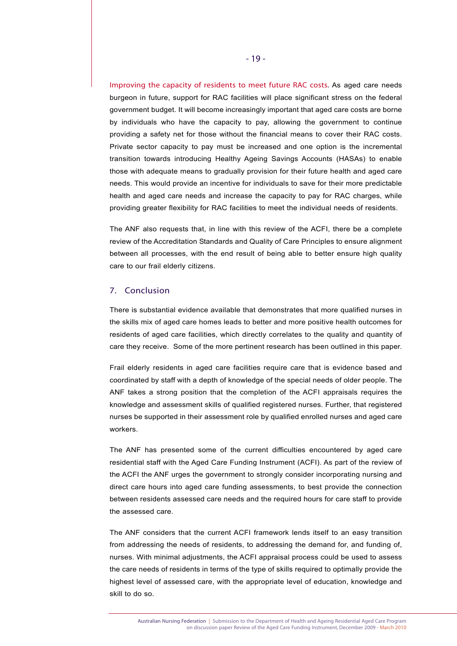Improving the capacity of residents to meet future RAC costs. As aged care needs burgeon in future, support for RAC facilities will place significant stress on the federal government budget. It will become increasingly important that aged care costs are borne by individuals who have the capacity to pay, allowing the government to continue providing a safety net for those without the financial means to cover their RAC costs. Private sector capacity to pay must be increased and one option is the incremental transition towards introducing Healthy Ageing Savings Accounts (HASAs) to enable those with adequate means to gradually provision for their future health and aged care needs. This would provide an incentive for individuals to save for their more predictable health and aged care needs and increase the capacity to pay for RAC charges, while providing greater flexibility for RAC facilities to meet the individual needs of residents.

The ANF also requests that, in line with this review of the ACFI, there be a complete review of the Accreditation Standards and Quality of Care Principles to ensure alignment between all processes, with the end result of being able to better ensure high quality care to our frail elderly citizens.

## 7. Conclusion

There is substantial evidence available that demonstrates that more qualified nurses in the skills mix of aged care homes leads to better and more positive health outcomes for residents of aged care facilities, which directly correlates to the quality and quantity of care they receive. Some of the more pertinent research has been outlined in this paper.

Frail elderly residents in aged care facilities require care that is evidence based and coordinated by staff with a depth of knowledge of the special needs of older people. The ANF takes a strong position that the completion of the ACFI appraisals requires the knowledge and assessment skills of qualified registered nurses. Further, that registered nurses be supported in their assessment role by qualified enrolled nurses and aged care workers.

The ANF has presented some of the current difficulties encountered by aged care residential staff with the Aged Care Funding Instrument (ACFI). As part of the review of the ACFI the ANF urges the government to strongly consider incorporating nursing and direct care hours into aged care funding assessments, to best provide the connection between residents assessed care needs and the required hours for care staff to provide the assessed care.

The ANF considers that the current ACFI framework lends itself to an easy transition from addressing the needs of residents, to addressing the demand for, and funding of, nurses. With minimal adjustments, the ACFI appraisal process could be used to assess the care needs of residents in terms of the type of skills required to optimally provide the highest level of assessed care, with the appropriate level of education, knowledge and skill to do so.

Australian Nursing Federation | Submission to the Department of Health and Ageing Residential Aged Care Program on discussion paper Review of the Aged Care Funding Instrument, December 2009 - March 2010